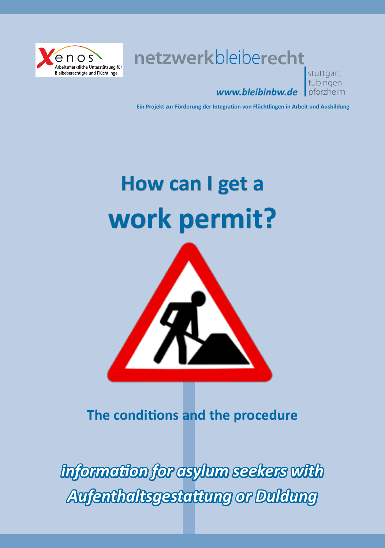

**netzwerk**bleibe**recht**

## *www.bleibinbw.de*

stuttgart tübingen pforzheim

**Ein Projekt zur Förderung der Integration von Flüchtlingen in Arbeit und Ausbildung**

# **How can I get a work permit?**



**The conditions and the procedure**

*information for asylum seekers with Aufenthaltsgestattung or Duldung*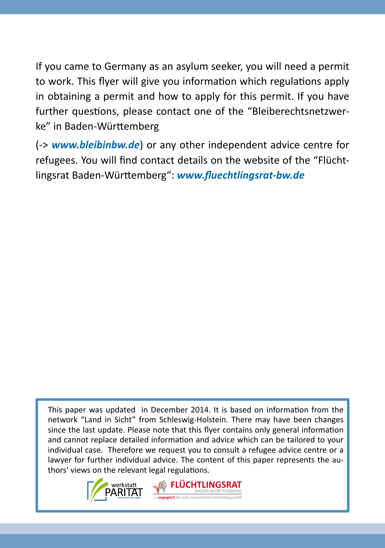If you came to Germany as an asylum seeker, you will need a permit to work. This flyer will give you information which regulations apply in obtaining a permit and how to apply for this permit. If you have further questions, please contact one of the "Bleiberechtsnetzwerke" in Baden-Württemberg

(-> *www.bleibinbw.de*) or any other independent advice centre for refugees. You will find contact details on the website of the "Flüchtlingsrat Baden-Württemberg": *www.fluechtlingsrat-bw.de*

This paper was updated in December 2014. It is based on information from the network "Land in Sicht" from Schleswig-Holstein. There may have been changes since the last update. Please note that this flyer contains only general information and cannot replace detailed information and advice which can be tailored to your individual case. Therefore we request you to consult a refugee advice centre or a lawyer for further individual advice. The content of this paper represents the authors' views on the relevant legal regulations.

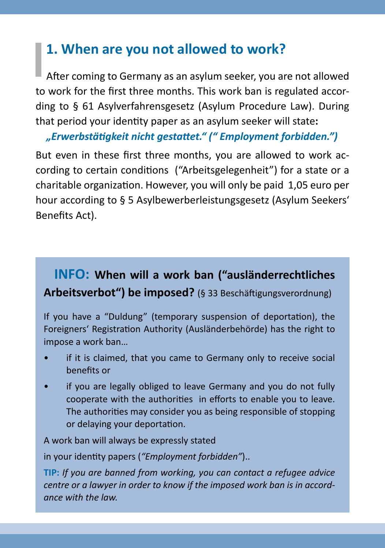#### **1. When are you not allowed to work?**

After coming to Germany as an asylum seeker, you are not allowed to work for the first three months. This work ban is regulated according to § 61 Asylverfahrensgesetz (Asylum Procedure Law). During that period your identity paper as an asylum seeker will state**:** 

*"Erwerbstätigkeit nicht gestattet." (" Employment forbidden.")*

But even in these first three months, you are allowed to work according to certain conditions ("Arbeitsgelegenheit") for a state or a charitable organization. However, you will only be paid 1,05 euro per hour according to § 5 Asylbewerberleistungsgesetz (Asylum Seekers' Benefits Act).

#### **INFO: When will a work ban ("ausländerrechtliches Arbeitsverbot") be imposed?** (§ 33 Beschäftigungsverordnung)

If you have a "Duldung" (temporary suspension of deportation), the Foreigners' Registration Authority (Ausländerbehörde) has the right to impose a work ban…

- if it is claimed, that you came to Germany only to receive social benefits or
- if you are legally obliged to leave Germany and you do not fully cooperate with the authorities in efforts to enable you to leave. The authorities may consider you as being responsible of stopping or delaying your deportation.

A work ban will always be expressly stated

in your identity papers (*"Employment forbidden"*)..

**TIP:** *If you are banned from working, you can contact a refugee advice centre or a lawyer in order to know if the imposed work ban is in accordance with the law.*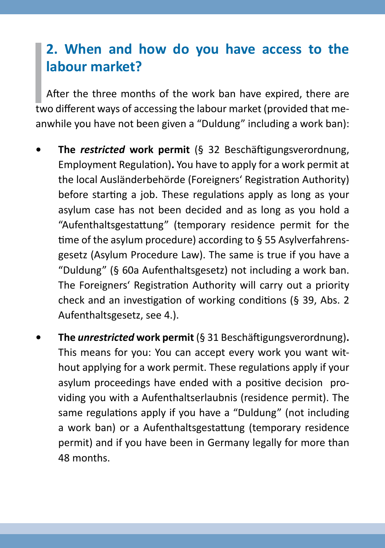### **2. When and how do you have access to the labour market?**

After the three months of the work ban have expired, there are two different ways of accessing the labour market (provided that meanwhile you have not been given a "Duldung" including a work ban):

- **• The** *restricted* **work permit** (§ 32 Beschäftigungsverordnung, Employment Regulation)**.** You have to apply for a work permit at the local Ausländerbehörde (Foreigners' Registration Authority) before starting a job. These regulations apply as long as your asylum case has not been decided and as long as you hold a "Aufenthaltsgestattung" (temporary residence permit for the time of the asylum procedure) according to § 55 Asylverfahrensgesetz (Asylum Procedure Law). The same is true if you have a "Duldung" (§ 60a Aufenthaltsgesetz) not including a work ban. The Foreigners' Registration Authority will carry out a priority check and an investigation of working conditions (§ 39, Abs. 2 Aufenthaltsgesetz, see 4.).
- **• The** *unrestricted* **work permit** (§ 31 Beschäftigungsverordnung)**.**  This means for you: You can accept every work you want without applying for a work permit. These regulations apply if your asylum proceedings have ended with a positive decision providing you with a Aufenthaltserlaubnis (residence permit). The same regulations apply if you have a "Duldung" (not including a work ban) or a Aufenthaltsgestattung (temporary residence permit) and if you have been in Germany legally for more than 48 months.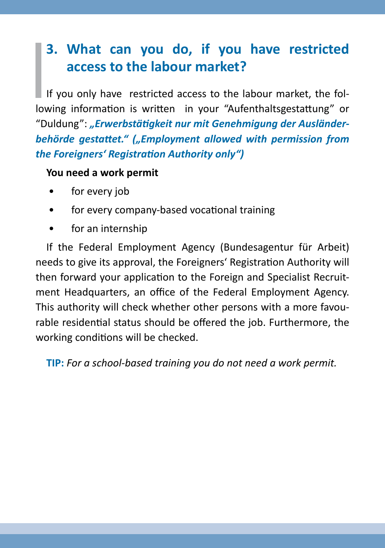### **3. What can you do, if you have restricted access to the labour market?**

If you only have restricted access to the labour market, the following information is written in your "Aufenthaltsgestattung" or "Duldung": "Erwerbstätigkeit nur mit Genehmigung der Ausländerbehörde gestattet." ("Employment allowed with permission from *the Foreigners' Registration Authority only")*

#### **You need a work permit**

- for every job
- for every company-based vocational training
- for an internship

If the Federal Employment Agency (Bundesagentur für Arbeit) needs to give its approval, the Foreigners' Registration Authority will then forward your application to the Foreign and Specialist Recruitment Headquarters, an office of the Federal Employment Agency. This authority will check whether other persons with a more favourable residential status should be offered the job. Furthermore, the working conditions will be checked.

**TIP:** *For a school-based training you do not need a work permit.*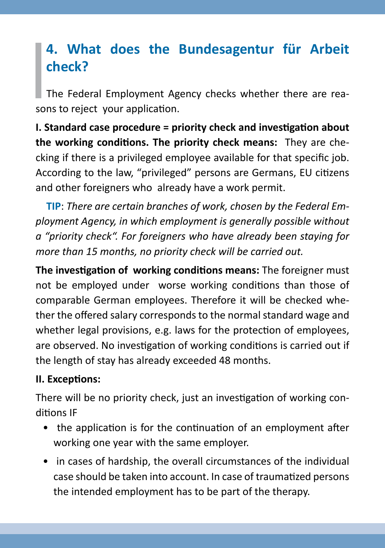### **4. What does the Bundesagentur für Arbeit check?**

The Federal Employment Agency checks whether there are reasons to reject your application.

**I. Standard case procedure = priority check and investigation about the working conditions. The priority check means:** They are checking if there is a privileged employee available for that specific job. According to the law, "privileged" persons are Germans, EU citizens and other foreigners who already have a work permit.

**TIP**: *There are certain branches of work, chosen by the Federal Employment Agency, in which employment is generally possible without a "priority check". For foreigners who have already been staying for more than 15 months, no priority check will be carried out.*

**The investigation of working conditions means:** The foreigner must not be employed under worse working conditions than those of comparable German employees. Therefore it will be checked whether the offered salary corresponds to the normal standard wage and whether legal provisions, e.g. laws for the protection of employees, are observed. No investigation of working conditions is carried out if the length of stay has already exceeded 48 months.

#### **II. Exceptions:**

There will be no priority check, just an investigation of working conditions IF

- the application is for the continuation of an employment after working one year with the same employer.
- in cases of hardship, the overall circumstances of the individual case should be taken into account. In case of traumatized persons the intended employment has to be part of the therapy.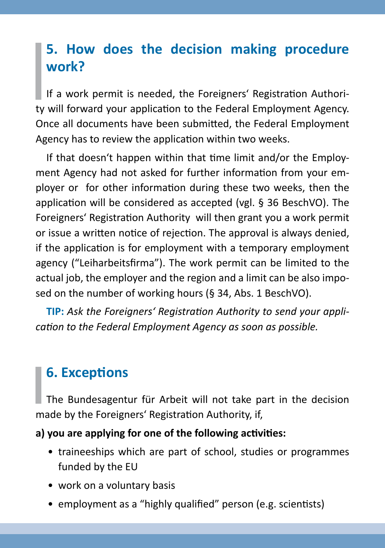### **5. How does the decision making procedure work?**

If a work permit is needed, the Foreigners' Registration Authority will forward your application to the Federal Employment Agency. Once all documents have been submitted, the Federal Employment Agency has to review the application within two weeks.

If that doesn't happen within that time limit and/or the Employment Agency had not asked for further information from your employer or for other information during these two weeks, then the application will be considered as accepted (vgl. § 36 BeschVO). The Foreigners' Registration Authority will then grant you a work permit or issue a written notice of rejection. The approval is always denied, if the application is for employment with a temporary employment agency ("Leiharbeitsfirma"). The work permit can be limited to the actual job, the employer and the region and a limit can be also imposed on the number of working hours (§ 34, Abs. 1 BeschVO).

**TIP:** *Ask the Foreigners' Registration Authority to send your application to the Federal Employment Agency as soon as possible.*

### **6. Exceptions**

The Bundesagentur für Arbeit will not take part in the decision made by the Foreigners' Registration Authority, if,

#### **a) you are applying for one of the following activities:**

- traineeships which are part of school, studies or programmes funded by the EU
- work on a voluntary basis
- employment as a "highly qualified" person (e.g. scientists)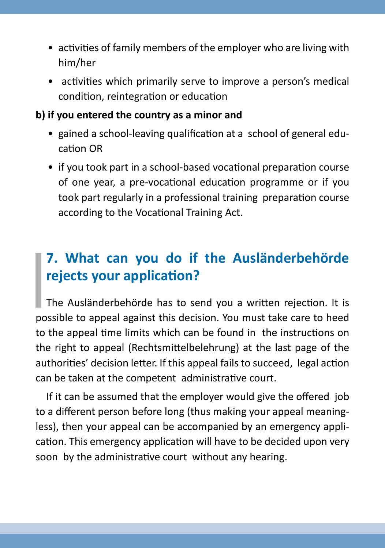- activities of family members of the employer who are living with him/her
- activities which primarily serve to improve a person's medical condition, reintegration or education

#### **b) if you entered the country as a minor and**

- gained a school-leaving qualification at a school of general education OR
- if you took part in a school-based vocational preparation course of one year, a pre-vocational education programme or if you took part regularly in a professional training preparation course according to the Vocational Training Act.

### **7. What can you do if the Ausländerbehörde rejects your application?**

The Ausländerbehörde has to send you a written rejection. It is possible to appeal against this decision. You must take care to heed to the appeal time limits which can be found in the instructions on the right to appeal (Rechtsmittelbelehrung) at the last page of the authorities' decision letter. If this appeal fails to succeed, legal action can be taken at the competent administrative court.

If it can be assumed that the employer would give the offered job to a different person before long (thus making your appeal meaningless), then your appeal can be accompanied by an emergency application. This emergency application will have to be decided upon very soon by the administrative court without any hearing.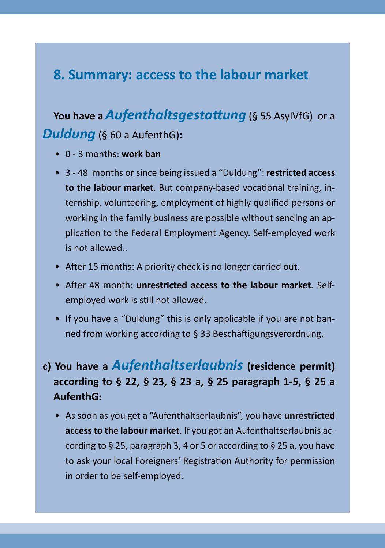#### **8. Summary: access to the labour market**

### **You have a** *Aufenthaltsgestattung* (§ 55 AsylVfG) or a *Duldung* (§ 60 a AufenthG)**:**

- 0 3 months: **work ban**
- 3 48 months or since being issued a "Duldung": **restricted access to the labour market**. But company-based vocational training, internship, volunteering, employment of highly qualified persons or working in the family business are possible without sending an application to the Federal Employment Agency. Self-employed work is not allowed..
- After 15 months: A priority check is no longer carried out.
- After 48 month: **unrestricted access to the labour market.** Selfemployed work is still not allowed.
- If you have a "Duldung" this is only applicable if you are not banned from working according to § 33 Beschäftigungsverordnung.

#### **c) You have a** *Aufenthaltserlaubnis* **(residence permit) according to § 22, § 23, § 23 a, § 25 paragraph 1-5, § 25 a AufenthG:**

• As soon as you get a "Aufenthaltserlaubnis", you have **unrestricted access to the labour market**. If you got an Aufenthaltserlaubnis according to § 25, paragraph 3, 4 or 5 or according to § 25 a, you have to ask your local Foreigners' Registration Authority for permission in order to be self-employed.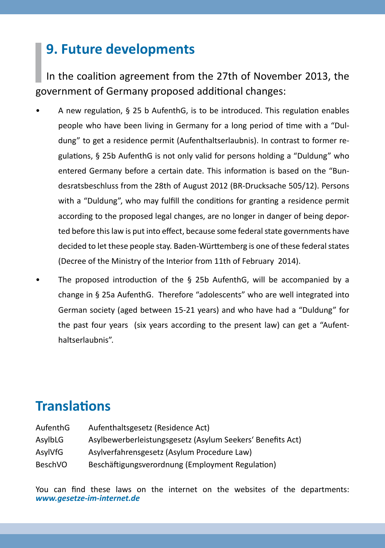### **9. Future developments**

In the coalition agreement from the 27th of November 2013, the government of Germany proposed additional changes:

- A new regulation, § 25 b AufenthG, is to be introduced. This regulation enables people who have been living in Germany for a long period of time with a "Duldung" to get a residence permit (Aufenthaltserlaubnis). In contrast to former regulations, § 25b AufenthG is not only valid for persons holding a "Duldung" who entered Germany before a certain date. This information is based on the "Bundesratsbeschluss from the 28th of August 2012 (BR-Drucksache 505/12). Persons with a "Duldung", who may fulfill the conditions for granting a residence permit according to the proposed legal changes, are no longer in danger of being deported before this law is put into effect, because some federal state governments have decided to let these people stay. Baden-Württemberg is one of these federal states (Decree of the Ministry of the Interior from 11th of February 2014).
- The proposed introduction of the § 25b AufenthG, will be accompanied by a change in § 25a AufenthG. Therefore "adolescents" who are well integrated into German society (aged between 15-21 years) and who have had a "Duldung" for the past four years (six years according to the present law) can get a "Aufenthaltserlaubnis".

#### **Translations**

| AufenthG | Aufenthaltsgesetz (Residence Act)                          |
|----------|------------------------------------------------------------|
| AsylbLG  | Asylbewerberleistungsgesetz (Asylum Seekers' Benefits Act) |
| AsylVfG  | Asylverfahrensgesetz (Asylum Procedure Law)                |
| BeschVO  | Beschäftigungsverordnung (Employment Regulation)           |

You can find these laws on the internet on the websites of the departments: *www.gesetze-im-internet.de*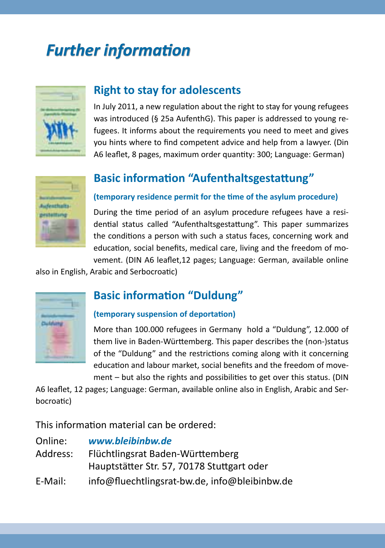# *Further information*



#### **Right to stay for adolescents**

In July 2011, a new regulation about the right to stay for young refugees was introduced (§ 25a AufenthG). This paper is addressed to young refugees. It informs about the requirements you need to meet and gives you hints where to find competent advice and help from a lawyer. (Din A6 leaflet, 8 pages, maximum order quantity: 300; Language: German)



#### **Basic information "Aufenthaltsgestattung"**

#### **(temporary residence permit for the time of the asylum procedure)**

During the time period of an asylum procedure refugees have a residential status called "Aufenthaltsgestattung". This paper summarizes the conditions a person with such a status faces, concerning work and education, social benefits, medical care, living and the freedom of movement. (DIN A6 leaflet,12 pages; Language: German, available online

also in English, Arabic and Serbocroatic)



#### **Basic information "Duldung"**

#### **(temporary suspension of deportation)**

More than 100.000 refugees in Germany hold a "Duldung", 12.000 of them live in Baden-Württemberg. This paper describes the (non-)status of the "Duldung" and the restrictions coming along with it concerning education and labour market, social benefits and the freedom of movement – but also the rights and possibilities to get over this status. (DIN

A6 leaflet, 12 pages; Language: German, available online also in English, Arabic and Serbocroatic)

This information material can be ordered:

| Online:  | www.bleibinbw.de                              |
|----------|-----------------------------------------------|
| Address: | Flüchtlingsrat Baden-Württemberg              |
|          | Hauptstätter Str. 57, 70178 Stuttgart oder    |
| E-Mail:  | info@fluechtlingsrat-bw.de, info@bleibinbw.de |